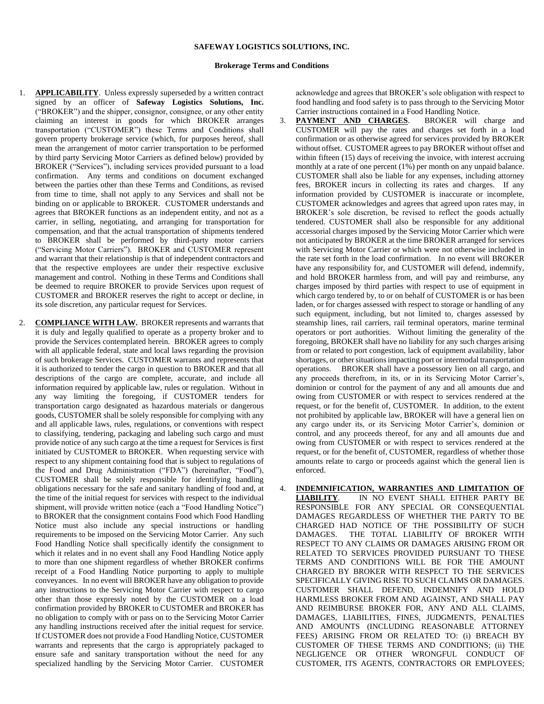## **SAFEWAY LOGISTICS SOLUTIONS, INC.**

## **Brokerage Terms and Conditions**

- 1. **APPLICABILITY**. Unless expressly superseded by a written contract signed by an officer of **Safeway Logistics Solutions, Inc.**  ("BROKER") and the shipper, consignor, consignee, or any other entity claiming an interest in goods for which BROKER arranges transportation ("CUSTOMER") these Terms and Conditions shall govern property brokerage service (which, for purposes hereof, shall mean the arrangement of motor carrier transportation to be performed by third party Servicing Motor Carriers as defined below) provided by BROKER ("Services"), including services provided pursuant to a load confirmation. Any terms and conditions on document exchanged between the parties other than these Terms and Conditions, as revised from time to time, shall not apply to any Services and shall not be binding on or applicable to BROKER. CUSTOMER understands and agrees that BROKER functions as an independent entity, and not as a carrier, in selling, negotiating, and arranging for transportation for compensation, and that the actual transportation of shipments tendered to BROKER shall be performed by third-party motor carriers ("Servicing Motor Carriers"). BROKER and CUSTOMER represent and warrant that their relationship is that of independent contractors and that the respective employees are under their respective exclusive management and control. Nothing in these Terms and Conditions shall be deemed to require BROKER to provide Services upon request of CUSTOMER and BROKER reserves the right to accept or decline, in its sole discretion, any particular request for Services.
- 2. **COMPLIANCE WITH LAW.** BROKER represents and warrants that it is duly and legally qualified to operate as a property broker and to provide the Services contemplated herein. BROKER agrees to comply with all applicable federal, state and local laws regarding the provision of such brokerage Services. CUSTOMER warrants and represents that it is authorized to tender the cargo in question to BROKER and that all descriptions of the cargo are complete, accurate, and include all information required by applicable law, rules or regulation. Without in any way limiting the foregoing, if CUSTOMER tenders for transportation cargo designated as hazardous materials or dangerous goods, CUSTOMER shall be solely responsible for complying with any and all applicable laws, rules, regulations, or conventions with respect to classifying, tendering, packaging and labeling such cargo and must provide notice of any such cargo at the time a request for Services is first initiated by CUSTOMER to BROKER. When requesting service with respect to any shipment containing food that is subject to regulations of the Food and Drug Administration ("FDA") (hereinafter, "Food"), CUSTOMER shall be solely responsible for identifying handling obligations necessary for the safe and sanitary handling of food and, at the time of the initial request for services with respect to the individual shipment, will provide written notice (each a "Food Handling Notice") to BROKER that the consignment contains Food which Food Handling Notice must also include any special instructions or handling requirements to be imposed on the Servicing Motor Carrier. Any such Food Handling Notice shall specifically identify the consignment to which it relates and in no event shall any Food Handling Notice apply to more than one shipment regardless of whether BROKER confirms receipt of a Food Handling Notice purporting to apply to multiple conveyances. In no event will BROKER have any obligation to provide any instructions to the Servicing Motor Carrier with respect to cargo other than those expressly noted by the CUSTOMER on a load confirmation provided by BROKER to CUSTOMER and BROKER has no obligation to comply with or pass on to the Servicing Motor Carrier any handling instructions received after the initial request for service. If CUSTOMER does not provide a Food Handling Notice, CUSTOMER warrants and represents that the cargo is appropriately packaged to ensure safe and sanitary transportation without the need for any specialized handling by the Servicing Motor Carrier. CUSTOMER

acknowledge and agrees that BROKER's sole obligation with respect to food handling and food safety is to pass through to the Servicing Motor Carrier instructions contained in a Food Handling Notice.

- 3. **PAYMENT AND CHARGES**. BROKER will charge and CUSTOMER will pay the rates and charges set forth in a load confirmation or as otherwise agreed for services provided by BROKER without offset. CUSTOMER agrees to pay BROKER without offset and within fifteen (15) days of receiving the invoice, with interest accruing monthly at a rate of one percent (1%) per month on any unpaid balance. CUSTOMER shall also be liable for any expenses, including attorney fees, BROKER incurs in collecting its rates and charges. If any information provided by CUSTOMER is inaccurate or incomplete, CUSTOMER acknowledges and agrees that agreed upon rates may, in BROKER's sole discretion, be revised to reflect the goods actually tendered. CUSTOMER shall also be responsible for any additional accessorial charges imposed by the Servicing Motor Carrier which were not anticipated by BROKER at the time BROKER arranged for services with Servicing Motor Carrier or which were not otherwise included in the rate set forth in the load confirmation. In no event will BROKER have any responsibility for, and CUSTOMER will defend, indemnify, and hold BROKER harmless from, and will pay and reimburse, any charges imposed by third parties with respect to use of equipment in which cargo tendered by, to or on behalf of CUSTOMER is or has been laden, or for charges assessed with respect to storage or handling of any such equipment, including, but not limited to, charges assessed by steamship lines, rail carriers, rail terminal operators, marine terminal operators or port authorities. Without limiting the generality of the foregoing, BROKER shall have no liability for any such charges arising from or related to port congestion, lack of equipment availability, labor shortages, or other situations impacting port or intermodal transportation operations. BROKER shall have a possessory lien on all cargo, and any proceeds therefrom, in its, or in its Servicing Motor Carrier's, dominion or control for the payment of any and all amounts due and owing from CUSTOMER or with respect to services rendered at the request, or for the benefit of, CUSTOMER. In addition, to the extent not prohibited by applicable law, BROKER will have a general lien on any cargo under its, or its Servicing Motor Carrier's, dominion or control, and any proceeds thereof, for any and all amounts due and owing from CUSTOMER or with respect to services rendered at the request, or for the benefit of, CUSTOMER, regardless of whether those amounts relate to cargo or proceeds against which the general lien is enforced.
- 4. **INDEMNIFICATION, WARRANTIES AND LIMITATION OF**  IN NO EVENT SHALL EITHER PARTY BE RESPONSIBLE FOR ANY SPECIAL OR CONSEQUENTIAL DAMAGES REGARDLESS OF WHETHER THE PARTY TO BE CHARGED HAD NOTICE OF THE POSSIBILITY OF SUCH DAMAGES. THE TOTAL LIABILITY OF BROKER WITH RESPECT TO ANY CLAIMS OR DAMAGES ARISING FROM OR RELATED TO SERVICES PROVIDED PURSUANT TO THESE TERMS AND CONDITIONS WILL BE FOR THE AMOUNT CHARGED BY BROKER WITH RESPECT TO THE SERVICES SPECIFICALLY GIVING RISE TO SUCH CLAIMS OR DAMAGES. CUSTOMER SHALL DEFEND, INDEMNIFY AND HOLD HARMLESS BROKER FROM AND AGAINST, AND SHALL PAY AND REIMBURSE BROKER FOR, ANY AND ALL CLAIMS, DAMAGES, LIABILITIES, FINES, JUDGMENTS, PENALTIES AND AMOUNTS (INCLUDING REASONABLE ATTORNEY FEES) ARISING FROM OR RELATED TO: (i) BREACH BY CUSTOMER OF THESE TERMS AND CONDITIONS; (ii) THE NEGLIGENCE OR OTHER WRONGFUL CONDUCT OF CUSTOMER, ITS AGENTS, CONTRACTORS OR EMPLOYEES;